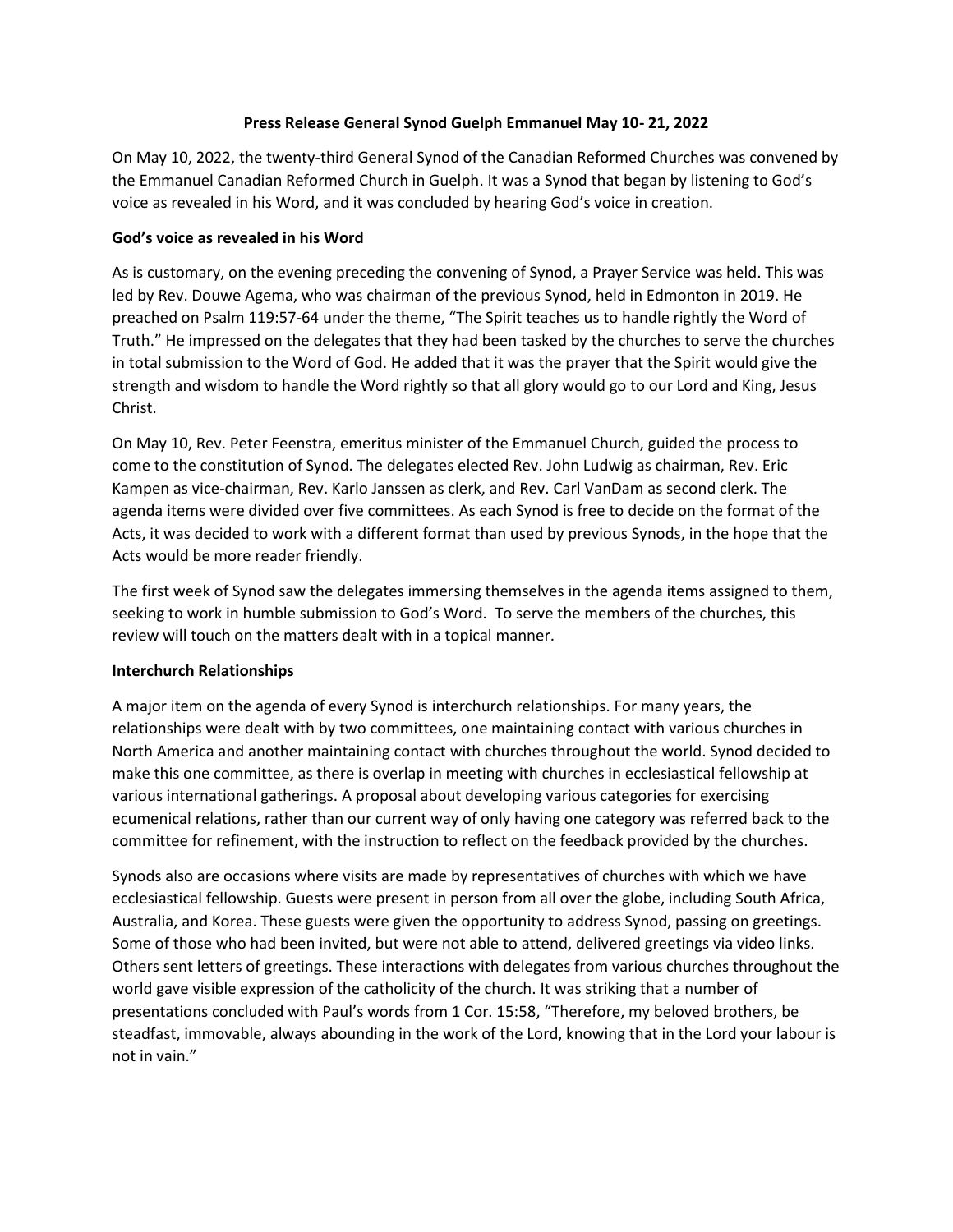### **Press Release General Synod Guelph Emmanuel May 10- 21, 2022**

On May 10, 2022, the twenty-third General Synod of the Canadian Reformed Churches was convened by the Emmanuel Canadian Reformed Church in Guelph. It was a Synod that began by listening to God's voice as revealed in his Word, and it was concluded by hearing God's voice in creation.

### **God's voice as revealed in his Word**

As is customary, on the evening preceding the convening of Synod, a Prayer Service was held. This was led by Rev. Douwe Agema, who was chairman of the previous Synod, held in Edmonton in 2019. He preached on Psalm 119:57-64 under the theme, "The Spirit teaches us to handle rightly the Word of Truth." He impressed on the delegates that they had been tasked by the churches to serve the churches in total submission to the Word of God. He added that it was the prayer that the Spirit would give the strength and wisdom to handle the Word rightly so that all glory would go to our Lord and King, Jesus Christ.

On May 10, Rev. Peter Feenstra, emeritus minister of the Emmanuel Church, guided the process to come to the constitution of Synod. The delegates elected Rev. John Ludwig as chairman, Rev. Eric Kampen as vice-chairman, Rev. Karlo Janssen as clerk, and Rev. Carl VanDam as second clerk. The agenda items were divided over five committees. As each Synod is free to decide on the format of the Acts, it was decided to work with a different format than used by previous Synods, in the hope that the Acts would be more reader friendly.

The first week of Synod saw the delegates immersing themselves in the agenda items assigned to them, seeking to work in humble submission to God's Word. To serve the members of the churches, this review will touch on the matters dealt with in a topical manner.

# **Interchurch Relationships**

A major item on the agenda of every Synod is interchurch relationships. For many years, the relationships were dealt with by two committees, one maintaining contact with various churches in North America and another maintaining contact with churches throughout the world. Synod decided to make this one committee, as there is overlap in meeting with churches in ecclesiastical fellowship at various international gatherings. A proposal about developing various categories for exercising ecumenical relations, rather than our current way of only having one category was referred back to the committee for refinement, with the instruction to reflect on the feedback provided by the churches.

Synods also are occasions where visits are made by representatives of churches with which we have ecclesiastical fellowship. Guests were present in person from all over the globe, including South Africa, Australia, and Korea. These guests were given the opportunity to address Synod, passing on greetings. Some of those who had been invited, but were not able to attend, delivered greetings via video links. Others sent letters of greetings. These interactions with delegates from various churches throughout the world gave visible expression of the catholicity of the church. It was striking that a number of presentations concluded with Paul's words from 1 Cor. 15:58, "Therefore, my beloved brothers, be steadfast, immovable, always abounding in the work of the Lord, knowing that in the Lord your labour is not in vain."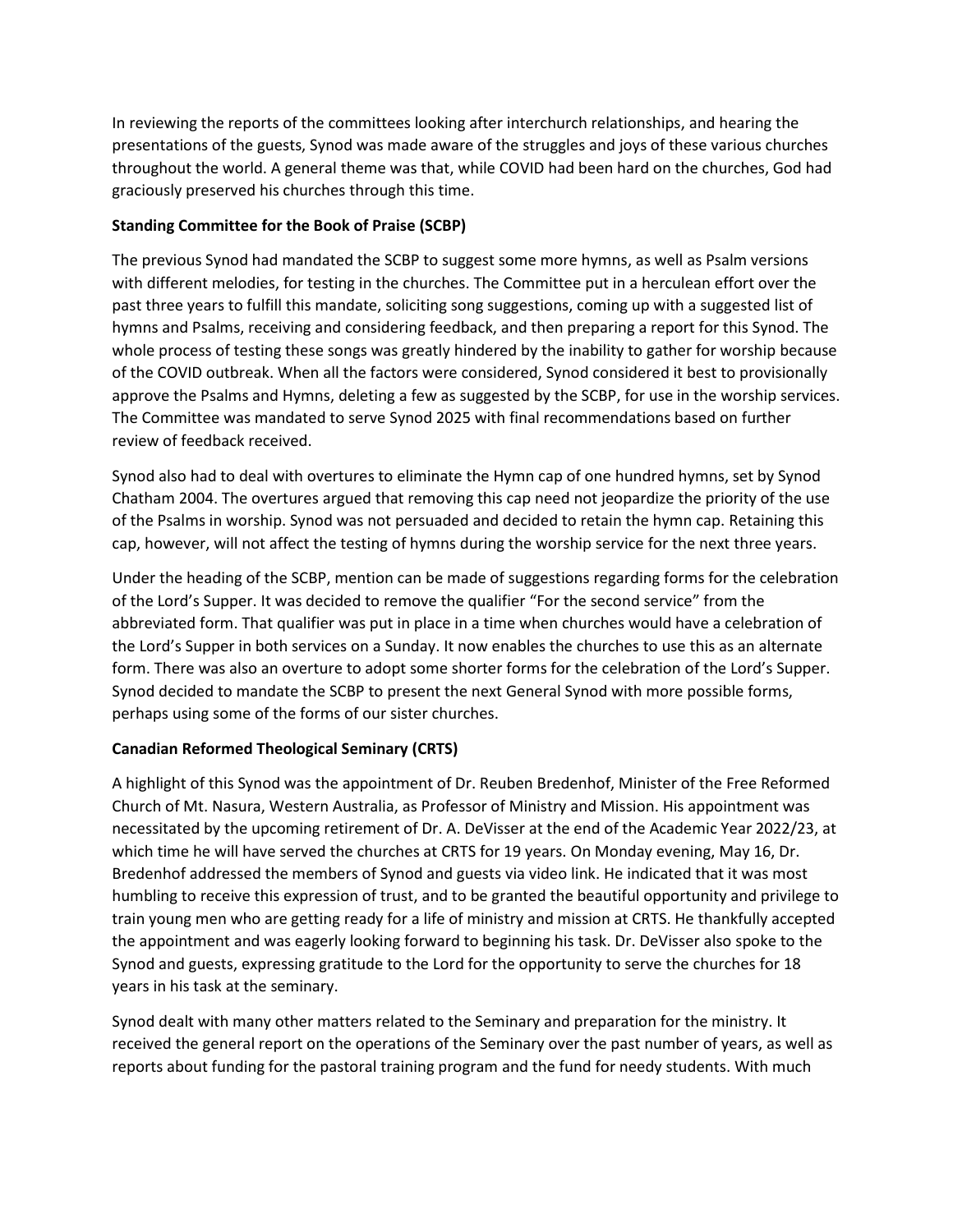In reviewing the reports of the committees looking after interchurch relationships, and hearing the presentations of the guests, Synod was made aware of the struggles and joys of these various churches throughout the world. A general theme was that, while COVID had been hard on the churches, God had graciously preserved his churches through this time.

## **Standing Committee for the Book of Praise (SCBP)**

The previous Synod had mandated the SCBP to suggest some more hymns, as well as Psalm versions with different melodies, for testing in the churches. The Committee put in a herculean effort over the past three years to fulfill this mandate, soliciting song suggestions, coming up with a suggested list of hymns and Psalms, receiving and considering feedback, and then preparing a report for this Synod. The whole process of testing these songs was greatly hindered by the inability to gather for worship because of the COVID outbreak. When all the factors were considered, Synod considered it best to provisionally approve the Psalms and Hymns, deleting a few as suggested by the SCBP, for use in the worship services. The Committee was mandated to serve Synod 2025 with final recommendations based on further review of feedback received.

Synod also had to deal with overtures to eliminate the Hymn cap of one hundred hymns, set by Synod Chatham 2004. The overtures argued that removing this cap need not jeopardize the priority of the use of the Psalms in worship. Synod was not persuaded and decided to retain the hymn cap. Retaining this cap, however, will not affect the testing of hymns during the worship service for the next three years.

Under the heading of the SCBP, mention can be made of suggestions regarding forms for the celebration of the Lord's Supper. It was decided to remove the qualifier "For the second service" from the abbreviated form. That qualifier was put in place in a time when churches would have a celebration of the Lord's Supper in both services on a Sunday. It now enables the churches to use this as an alternate form. There was also an overture to adopt some shorter forms for the celebration of the Lord's Supper. Synod decided to mandate the SCBP to present the next General Synod with more possible forms, perhaps using some of the forms of our sister churches.

# **Canadian Reformed Theological Seminary (CRTS)**

A highlight of this Synod was the appointment of Dr. Reuben Bredenhof, Minister of the Free Reformed Church of Mt. Nasura, Western Australia, as Professor of Ministry and Mission. His appointment was necessitated by the upcoming retirement of Dr. A. DeVisser at the end of the Academic Year 2022/23, at which time he will have served the churches at CRTS for 19 years. On Monday evening, May 16, Dr. Bredenhof addressed the members of Synod and guests via video link. He indicated that it was most humbling to receive this expression of trust, and to be granted the beautiful opportunity and privilege to train young men who are getting ready for a life of ministry and mission at CRTS. He thankfully accepted the appointment and was eagerly looking forward to beginning his task. Dr. DeVisser also spoke to the Synod and guests, expressing gratitude to the Lord for the opportunity to serve the churches for 18 years in his task at the seminary.

Synod dealt with many other matters related to the Seminary and preparation for the ministry. It received the general report on the operations of the Seminary over the past number of years, as well as reports about funding for the pastoral training program and the fund for needy students. With much